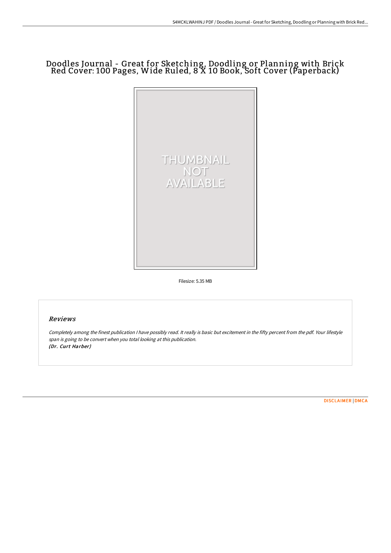## Doodles Journal - Great for Sketching, Doodling or Planning with Brick Red Cover: 100 Pages, Wide Ruled, 8 X 10 Book, Soft Cover (Paperback)



Filesize: 5.35 MB

## Reviews

Completely among the finest publication <sup>I</sup> have possibly read. It really is basic but excitement in the fifty percent from the pdf. Your lifestyle span is going to be convert when you total looking at this publication. (Dr. Curt Harber)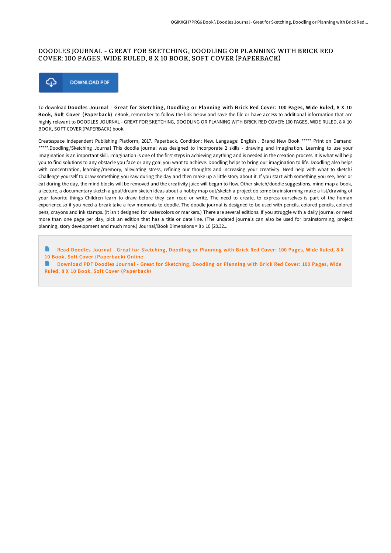## DOODLES JOURNAL - GREAT FOR SKETCHING, DOODLING OR PLANNING WITH BRICK RED COVER: 100 PAGES, WIDE RULED, 8 X 10 BOOK, SOFT COVER (PAPERBACK)



To download Doodles Journal - Great for Sketching, Doodling or Planning with Brick Red Cover: 100 Pages, Wide Ruled, 8 X 10 Book, Soft Cover (Paperback) eBook, remember to follow the link below and save the file or have access to additional information that are highly relevant to DOODLES JOURNAL - GREAT FOR SKETCHING, DOODLING OR PLANNING WITH BRICK RED COVER: 100 PAGES, WIDE RULED, 8 X 10 BOOK, SOFT COVER (PAPERBACK) book.

Createspace Independent Publishing Platform, 2017. Paperback. Condition: New. Language: English . Brand New Book \*\*\*\*\* Print on Demand \*\*\*\*\*.Doodling/Sketching Journal This doodle journal was designed to incorporate 2 skills - drawing and imagination. Learning to use your imagination is an important skill. Imagination is one of the first steps in achieving anything and is needed in the creation process. It is what will help you to find solutions to any obstacle you face or any goal you want to achieve. Doodling helps to bring our imagination to life. Doodling also helps with concentration, learning/memory, alleviating stress, refining our thoughts and increasing your creativity. Need help with what to sketch? Challenge yourself to draw something you saw during the day and then make up a little story about it. If you start with something you see, hear or eat during the day, the mind blocks will be removed and the creativity juice will began to flow. Other sketch/doodle suggestions. mind map a book, a lecture, a documentary sketch a goal/dream sketch ideas about a hobby map out/sketch a project do some brainstorming make a list/drawing of your favorite things Children learn to draw before they can read or write. The need to create, to express ourselves is part of the human experience.so if you need a break take a few moments to doodle. The doodle journal is designed to be used with pencils, colored pencils, colored pens, crayons and ink stamps. (It isn t designed for watercolors or markers.) There are several editions. If you struggle with a daily journal or need more than one page per day, pick an edition that has a title or date line. (The undated journals can also be used for brainstorming, project planning, story development and much more.) Journal/Book Dimensions = 8 x 10 (20.32...

B Read Doodles Journal - Great for Sketching, Doodling or Planning with Brick Red Cover: 100 Pages, Wide Ruled, 8 X 10 Book, Soft Cover [\(Paperback\)](http://bookera.tech/doodles-journal-great-for-sketching-doodling-or--6.html) Online

B Download PDF Doodles Journal - Great for Sketching, Doodling or Planning with Brick Red Cover: 100 Pages, Wide Ruled, 8 X 10 Book, Soft Cover [\(Paperback\)](http://bookera.tech/doodles-journal-great-for-sketching-doodling-or--6.html)